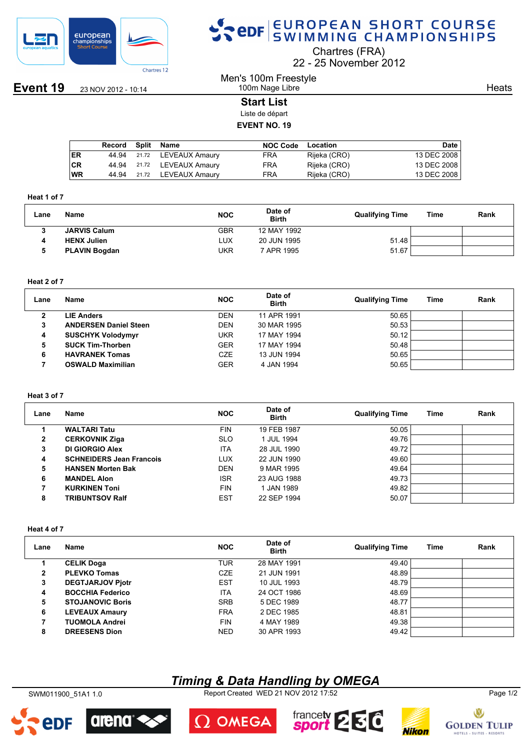

## SPOR EUROPEAN SHORT COURSE

Chartres (FRA)

22 25 November 2012

**Event 19** 23 NOV 2012 - 10:14

#### Men's 100m Freestyle 100m Nage Libre

**Heats** 

#### **Start List**

Liste de départ

#### **EVENT NO. 19**

|      | Record | Split | Name                 | <b>NOC Code</b> | Location     | <b>Date</b> |
|------|--------|-------|----------------------|-----------------|--------------|-------------|
| I ER | 44.94  |       | 21.72 LEVEAUX Amaury | FRA             | Rijeka (CRO) | 13 DEC 2008 |
| ∣CR  | 44.94  |       | 21.72 LEVEAUX Amaury | <b>FRA</b>      | Rijeka (CRO) | 13 DEC 2008 |
| WR   | 44.94  |       | 21.72 LEVEAUX Amaury | FRA             | Rijeka (CRO) | 13 DEC 2008 |

#### **Heat 1 of 7**

| Lane | Name                 | <b>NOC</b> | Date of<br><b>Birth</b> | <b>Qualifying Time</b> | Time | Rank |
|------|----------------------|------------|-------------------------|------------------------|------|------|
|      | <b>JARVIS Calum</b>  | GBR        | 12 MAY 1992             |                        |      |      |
|      | <b>HENX Julien</b>   | LUX        | 20 JUN 1995             | 51.48                  |      |      |
|      | <b>PLAVIN Bogdan</b> | UKR        | 7 APR 1995              | 51.67                  |      |      |

#### **Heat 2 of 7**

| Lane | Name                         | <b>NOC</b> | Date of<br><b>Birth</b> | <b>Qualifying Time</b> | Time | Rank |
|------|------------------------------|------------|-------------------------|------------------------|------|------|
| 2    | <b>LIE Anders</b>            | <b>DEN</b> | 11 APR 1991             | 50.65                  |      |      |
| 3    | <b>ANDERSEN Daniel Steen</b> | <b>DEN</b> | 30 MAR 1995             | 50.53                  |      |      |
| 4    | <b>SUSCHYK Volodymyr</b>     | UKR        | 17 MAY 1994             | 50.12                  |      |      |
| 5    | <b>SUCK Tim-Thorben</b>      | <b>GER</b> | 17 MAY 1994             | 50.48                  |      |      |
| 6    | <b>HAVRANEK Tomas</b>        | CZE        | 13 JUN 1994             | 50.65                  |      |      |
|      | <b>OSWALD Maximilian</b>     | <b>GER</b> | 4 JAN 1994              | 50.65                  |      |      |

#### **Heat 3 of 7**

| Lane         | Name                            | <b>NOC</b> | Date of<br><b>Birth</b> | <b>Qualifying Time</b> | Time | Rank |
|--------------|---------------------------------|------------|-------------------------|------------------------|------|------|
|              | <b>WALTARI Tatu</b>             | <b>FIN</b> | 19 FEB 1987             | 50.05                  |      |      |
| $\mathbf{2}$ | <b>CERKOVNIK Ziga</b>           | <b>SLO</b> | 1 JUL 1994              | 49.76                  |      |      |
| 3            | DI GIORGIO Alex                 | <b>ITA</b> | 28 JUL 1990             | 49.72                  |      |      |
| 4            | <b>SCHNEIDERS Jean Francois</b> | <b>LUX</b> | 22 JUN 1990             | 49.60                  |      |      |
| 5            | <b>HANSEN Morten Bak</b>        | <b>DEN</b> | 9 MAR 1995              | 49.64                  |      |      |
| 6            | <b>MANDEL Alon</b>              | <b>ISR</b> | 23 AUG 1988             | 49.73                  |      |      |
|              | <b>KURKINEN Toni</b>            | <b>FIN</b> | 1 JAN 1989              | 49.82                  |      |      |
| 8            | <b>TRIBUNTSOV Ralf</b>          | <b>EST</b> | 22 SEP 1994             | 50.07                  |      |      |

#### **Heat 4 of 7**

| Lane | Name                    | <b>NOC</b> | Date of<br><b>Birth</b> | <b>Qualifying Time</b> | Time | Rank |
|------|-------------------------|------------|-------------------------|------------------------|------|------|
|      | <b>CELIK Doga</b>       | <b>TUR</b> | 28 MAY 1991             | 49.40                  |      |      |
| 2    | <b>PLEVKO Tomas</b>     | <b>CZE</b> | 21 JUN 1991             | 48.89                  |      |      |
| 3    | <b>DEGTJARJOV Pjotr</b> | <b>EST</b> | 10 JUL 1993             | 48.79                  |      |      |
| 4    | <b>BOCCHIA Federico</b> | <b>ITA</b> | 24 OCT 1986             | 48.69                  |      |      |
| 5    | <b>STOJANOVIC Boris</b> | <b>SRB</b> | 5 DEC 1989              | 48.77                  |      |      |
| 6    | <b>LEVEAUX Amaury</b>   | <b>FRA</b> | 2 DEC 1985              | 48.81                  |      |      |
| 7    | <b>TUOMOLA Andrei</b>   | <b>FIN</b> | 4 MAY 1989              | 49.38                  |      |      |
| 8    | <b>DREESENS Dion</b>    | <b>NED</b> | 30 APR 1993             | 49.42                  |      |      |

## *Timing & Data Handling by OMEGA*

SWM011900\_51A1 1.0 Report Created WED 21 NOV 2012 17:52 Page 1/2